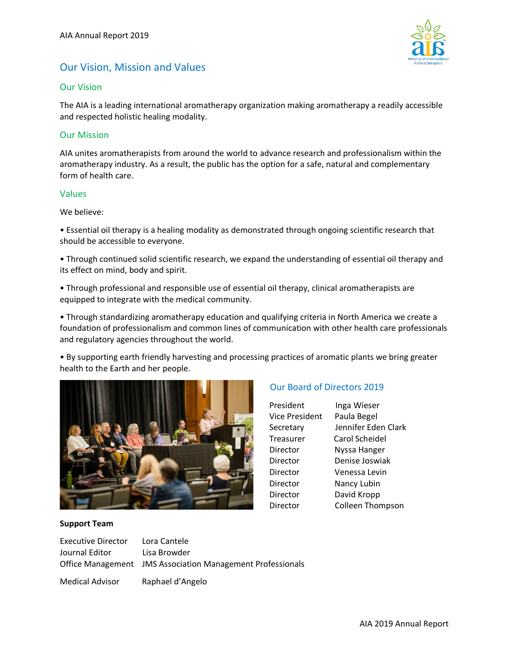

# Our Vision, Mission and Values

## Our Vision

The AIA is a leading international aromatherapy organization making aromatherapy a readily accessible and respected holistic healing modality.

## Our Mission

AIA unites aromatherapists from around the world to advance research and professionalism within the aromatherapy industry. As a result, the public has the option for a safe, natural and complementary form of health care.

## Values

We believe:

• Essential oil therapy is a healing modality as demonstrated through ongoing scientific research that should be accessible to everyone.

• Through continued solid scientific research, we expand the understanding of essential oil therapy and its effect on mind, body and spirit.

• Through professional and responsible use of essential oil therapy, clinical aromatherapists are equipped to integrate with the medical community.

• Through standardizing aromatherapy education and qualifying criteria in North America we create a foundation of professionalism and common lines of communication with other health care professionals and regulatory agencies throughout the world.

• By supporting earth friendly harvesting and processing practices of aromatic plants we bring greater health to the Earth and her people.



## Our Board of Directors 2019

| President      | Inga Wieser             |
|----------------|-------------------------|
| Vice President | Paula Begel             |
| Secretary      | Jennifer Eden Clark     |
| Treasurer      | Carol Scheidel          |
| Director       | Nyssa Hanger            |
| Director       | Denise Joswiak          |
| Director       | Venessa Levin           |
| Director       | Nancy Lubin             |
| Director       | David Kropp             |
| Director       | <b>Colleen Thompson</b> |

## **Support Team**

| Executive Director | Lora Cantele                                               |
|--------------------|------------------------------------------------------------|
| Journal Editor     | Lisa Browder                                               |
|                    | Office Management JMS Association Management Professionals |
|                    |                                                            |

Medical Advisor Raphael d'Angelo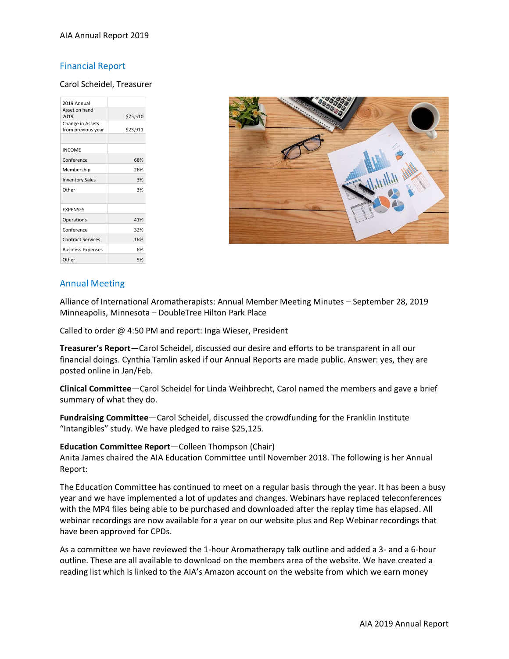#### AIA Annual Report 2019

## Financial Report

#### Carol Scheidel, Treasurer

| 2019 Annual                            |          |  |
|----------------------------------------|----------|--|
| Asset on hand<br>2019                  | \$75,510 |  |
| Change in Assets<br>from previous year | \$23,911 |  |
|                                        |          |  |
| <b>INCOME</b>                          |          |  |
| Conference                             | 68%      |  |
| Membership                             | 26%      |  |
| <b>Inventory Sales</b>                 | 3%       |  |
| Other                                  | 3%       |  |
|                                        |          |  |
| <b>EXPENSES</b>                        |          |  |
| Operations                             | 41%      |  |
| Conference                             | 32%      |  |
| <b>Contract Services</b>               | 16%      |  |
| <b>Business Expenses</b>               | 6%       |  |
| Other                                  | 5%       |  |



## Annual Meeting

Alliance of International Aromatherapists: Annual Member Meeting Minutes – September 28, 2019 Minneapolis, Minnesota – DoubleTree Hilton Park Place

Called to order @ 4:50 PM and report: Inga Wieser, President

**Treasurer's Report**—Carol Scheidel, discussed our desire and efforts to be transparent in all our financial doings. Cynthia Tamlin asked if our Annual Reports are made public. Answer: yes, they are posted online in Jan/Feb.

**Clinical Committee**—Carol Scheidel for Linda Weihbrecht, Carol named the members and gave a brief summary of what they do.

**Fundraising Committee**—Carol Scheidel, discussed the crowdfunding for the Franklin Institute "Intangibles" study. We have pledged to raise \$25,125.

#### **Education Committee Report**—Colleen Thompson (Chair)

Anita James chaired the AIA Education Committee until November 2018. The following is her Annual Report:

The Education Committee has continued to meet on a regular basis through the year. It has been a busy year and we have implemented a lot of updates and changes. Webinars have replaced teleconferences with the MP4 files being able to be purchased and downloaded after the replay time has elapsed. All webinar recordings are now available for a year on our website plus and Rep Webinar recordings that have been approved for CPDs.

As a committee we have reviewed the 1-hour Aromatherapy talk outline and added a 3- and a 6-hour outline. These are all available to download on the members area of the website. We have created a reading list which is linked to the AIA's Amazon account on the website from which we earn money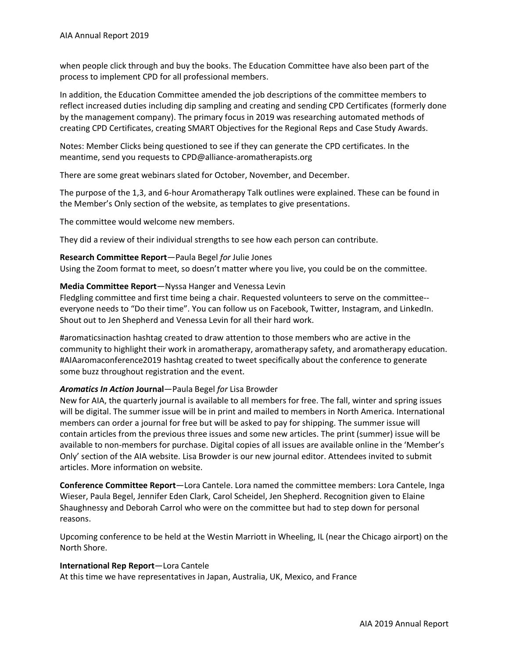when people click through and buy the books. The Education Committee have also been part of the process to implement CPD for all professional members.

In addition, the Education Committee amended the job descriptions of the committee members to reflect increased duties including dip sampling and creating and sending CPD Certificates (formerly done by the management company). The primary focus in 2019 was researching automated methods of creating CPD Certificates, creating SMART Objectives for the Regional Reps and Case Study Awards.

Notes: Member Clicks being questioned to see if they can generate the CPD certificates. In the meantime, send you requests to CPD@alliance-aromatherapists.org

There are some great webinars slated for October, November, and December.

The purpose of the 1,3, and 6-hour Aromatherapy Talk outlines were explained. These can be found in the Member's Only section of the website, as templates to give presentations.

The committee would welcome new members.

They did a review of their individual strengths to see how each person can contribute.

## **Research Committee Report**—Paula Begel *for* Julie Jones

Using the Zoom format to meet, so doesn't matter where you live, you could be on the committee.

#### **Media Committee Report**—Nyssa Hanger and Venessa Levin

Fledgling committee and first time being a chair. Requested volunteers to serve on the committee- everyone needs to "Do their time". You can follow us on Facebook, Twitter, Instagram, and LinkedIn. Shout out to Jen Shepherd and Venessa Levin for all their hard work.

#aromaticsinaction hashtag created to draw attention to those members who are active in the community to highlight their work in aromatherapy, aromatherapy safety, and aromatherapy education. #AIAaromaconference2019 hashtag created to tweet specifically about the conference to generate some buzz throughout registration and the event.

## *Aromatics In Action* **Journal**—Paula Begel *for* Lisa Browder

New for AIA, the quarterly journal is available to all members for free. The fall, winter and spring issues will be digital. The summer issue will be in print and mailed to members in North America. International members can order a journal for free but will be asked to pay for shipping. The summer issue will contain articles from the previous three issues and some new articles. The print (summer) issue will be available to non-members for purchase. Digital copies of all issues are available online in the 'Member's Only' section of the AIA website. Lisa Browder is our new journal editor. Attendees invited to submit articles. More information on website.

**Conference Committee Report**—Lora Cantele. Lora named the committee members: Lora Cantele, Inga Wieser, Paula Begel, Jennifer Eden Clark, Carol Scheidel, Jen Shepherd. Recognition given to Elaine Shaughnessy and Deborah Carrol who were on the committee but had to step down for personal reasons.

Upcoming conference to be held at the Westin Marriott in Wheeling, IL (near the Chicago airport) on the North Shore.

#### **International Rep Report**—Lora Cantele

At this time we have representatives in Japan, Australia, UK, Mexico, and France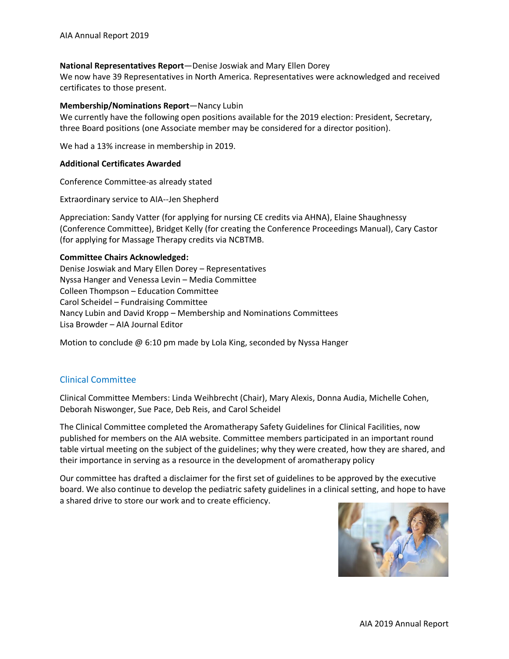#### **National Representatives Report**—Denise Joswiak and Mary Ellen Dorey

We now have 39 Representatives in North America. Representatives were acknowledged and received certificates to those present.

#### **Membership/Nominations Report**—Nancy Lubin

We currently have the following open positions available for the 2019 election: President, Secretary, three Board positions (one Associate member may be considered for a director position).

We had a 13% increase in membership in 2019.

#### **Additional Certificates Awarded**

Conference Committee-as already stated

Extraordinary service to AIA--Jen Shepherd

Appreciation: Sandy Vatter (for applying for nursing CE credits via AHNA), Elaine Shaughnessy (Conference Committee), Bridget Kelly (for creating the Conference Proceedings Manual), Cary Castor (for applying for Massage Therapy credits via NCBTMB.

#### **Committee Chairs Acknowledged:**

Denise Joswiak and Mary Ellen Dorey – Representatives Nyssa Hanger and Venessa Levin – Media Committee Colleen Thompson – Education Committee Carol Scheidel – Fundraising Committee Nancy Lubin and David Kropp – Membership and Nominations Committees Lisa Browder – AIA Journal Editor

Motion to conclude @ 6:10 pm made by Lola King, seconded by Nyssa Hanger

### Clinical Committee

Clinical Committee Members: Linda Weihbrecht (Chair), Mary Alexis, Donna Audia, Michelle Cohen, Deborah Niswonger, Sue Pace, Deb Reis, and Carol Scheidel

The Clinical Committee completed the Aromatherapy Safety Guidelines for Clinical Facilities, now published for members on the AIA website. Committee members participated in an important round table virtual meeting on the subject of the guidelines; why they were created, how they are shared, and their importance in serving as a resource in the development of aromatherapy policy

Our committee has drafted a disclaimer for the first set of guidelines to be approved by the executive board. We also continue to develop the pediatric safety guidelines in a clinical setting, and hope to have a shared drive to store our work and to create efficiency.

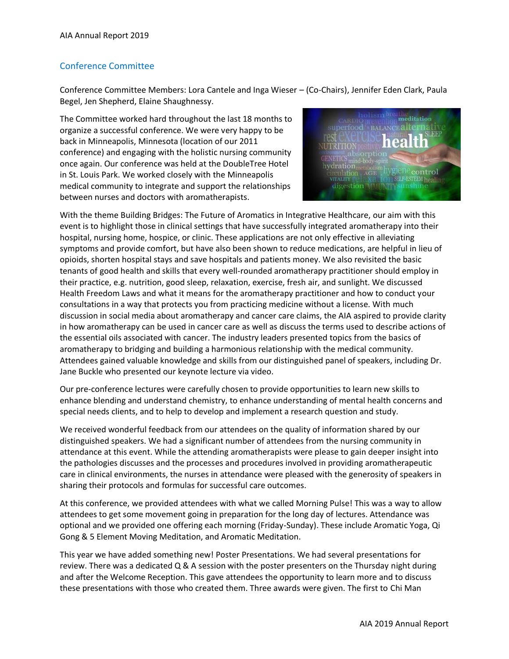## Conference Committee

Conference Committee Members: Lora Cantele and Inga Wieser – (Co-Chairs), Jennifer Eden Clark, Paula Begel, Jen Shepherd, Elaine Shaughnessy.

The Committee worked hard throughout the last 18 months to organize a successful conference. We were very happy to be back in Minneapolis, Minnesota (location of our 2011 conference) and engaging with the holistic nursing community once again. Our conference was held at the DoubleTree Hotel in St. Louis Park. We worked closely with the Minneapolis medical community to integrate and support the relationships between nurses and doctors with aromatherapists.



With the theme Building Bridges: The Future of Aromatics in Integrative Healthcare, our aim with this event is to highlight those in clinical settings that have successfully integrated aromatherapy into their hospital, nursing home, hospice, or clinic. These applications are not only effective in alleviating symptoms and provide comfort, but have also been shown to reduce medications, are helpful in lieu of opioids, shorten hospital stays and save hospitals and patients money. We also revisited the basic tenants of good health and skills that every well-rounded aromatherapy practitioner should employ in their practice, e.g. nutrition, good sleep, relaxation, exercise, fresh air, and sunlight. We discussed Health Freedom Laws and what it means for the aromatherapy practitioner and how to conduct your consultations in a way that protects you from practicing medicine without a license. With much discussion in social media about aromatherapy and cancer care claims, the AIA aspired to provide clarity in how aromatherapy can be used in cancer care as well as discuss the terms used to describe actions of the essential oils associated with cancer. The industry leaders presented topics from the basics of aromatherapy to bridging and building a harmonious relationship with the medical community. Attendees gained valuable knowledge and skills from our distinguished panel of speakers, including Dr. Jane Buckle who presented our keynote lecture via video.

Our pre-conference lectures were carefully chosen to provide opportunities to learn new skills to enhance blending and understand chemistry, to enhance understanding of mental health concerns and special needs clients, and to help to develop and implement a research question and study.

We received wonderful feedback from our attendees on the quality of information shared by our distinguished speakers. We had a significant number of attendees from the nursing community in attendance at this event. While the attending aromatherapists were please to gain deeper insight into the pathologies discusses and the processes and procedures involved in providing aromatherapeutic care in clinical environments, the nurses in attendance were pleased with the generosity of speakers in sharing their protocols and formulas for successful care outcomes.

At this conference, we provided attendees with what we called Morning Pulse! This was a way to allow attendees to get some movement going in preparation for the long day of lectures. Attendance was optional and we provided one offering each morning (Friday-Sunday). These include Aromatic Yoga, Qi Gong & 5 Element Moving Meditation, and Aromatic Meditation.

This year we have added something new! Poster Presentations. We had several presentations for review. There was a dedicated Q & A session with the poster presenters on the Thursday night during and after the Welcome Reception. This gave attendees the opportunity to learn more and to discuss these presentations with those who created them. Three awards were given. The first to Chi Man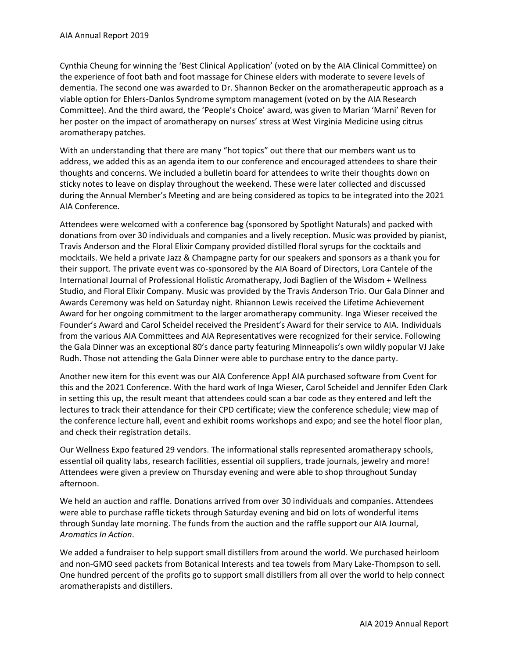Cynthia Cheung for winning the 'Best Clinical Application' (voted on by the AIA Clinical Committee) on the experience of foot bath and foot massage for Chinese elders with moderate to severe levels of dementia. The second one was awarded to Dr. Shannon Becker on the aromatherapeutic approach as a viable option for Ehlers-Danlos Syndrome symptom management (voted on by the AIA Research Committee). And the third award, the 'People's Choice' award, was given to Marian 'Marni' Reven for her poster on the impact of aromatherapy on nurses' stress at West Virginia Medicine using citrus aromatherapy patches.

With an understanding that there are many "hot topics" out there that our members want us to address, we added this as an agenda item to our conference and encouraged attendees to share their thoughts and concerns. We included a bulletin board for attendees to write their thoughts down on sticky notes to leave on display throughout the weekend. These were later collected and discussed during the Annual Member's Meeting and are being considered as topics to be integrated into the 2021 AIA Conference.

Attendees were welcomed with a conference bag (sponsored by Spotlight Naturals) and packed with donations from over 30 individuals and companies and a lively reception. Music was provided by pianist, Travis Anderson and the Floral Elixir Company provided distilled floral syrups for the cocktails and mocktails. We held a private Jazz & Champagne party for our speakers and sponsors as a thank you for their support. The private event was co-sponsored by the AIA Board of Directors, Lora Cantele of the International Journal of Professional Holistic Aromatherapy, Jodi Baglien of the Wisdom + Wellness Studio, and Floral Elixir Company. Music was provided by the Travis Anderson Trio. Our Gala Dinner and Awards Ceremony was held on Saturday night. Rhiannon Lewis received the Lifetime Achievement Award for her ongoing commitment to the larger aromatherapy community. Inga Wieser received the Founder's Award and Carol Scheidel received the President's Award for their service to AIA. Individuals from the various AIA Committees and AIA Representatives were recognized for their service. Following the Gala Dinner was an exceptional 80's dance party featuring Minneapolis's own wildly popular VJ Jake Rudh. Those not attending the Gala Dinner were able to purchase entry to the dance party.

Another new item for this event was our AIA Conference App! AIA purchased software from Cvent for this and the 2021 Conference. With the hard work of Inga Wieser, Carol Scheidel and Jennifer Eden Clark in setting this up, the result meant that attendees could scan a bar code as they entered and left the lectures to track their attendance for their CPD certificate; view the conference schedule; view map of the conference lecture hall, event and exhibit rooms workshops and expo; and see the hotel floor plan, and check their registration details.

Our Wellness Expo featured 29 vendors. The informational stalls represented aromatherapy schools, essential oil quality labs, research facilities, essential oil suppliers, trade journals, jewelry and more! Attendees were given a preview on Thursday evening and were able to shop throughout Sunday afternoon.

We held an auction and raffle. Donations arrived from over 30 individuals and companies. Attendees were able to purchase raffle tickets through Saturday evening and bid on lots of wonderful items through Sunday late morning. The funds from the auction and the raffle support our AIA Journal, *Aromatics In Action*.

We added a fundraiser to help support small distillers from around the world. We purchased heirloom and non-GMO seed packets from Botanical Interests and tea towels from Mary Lake-Thompson to sell. One hundred percent of the profits go to support small distillers from all over the world to help connect aromatherapists and distillers.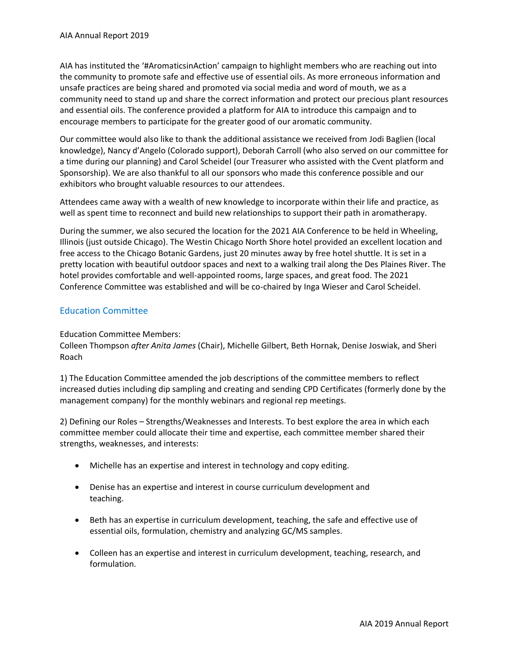AIA has instituted the '#AromaticsinAction' campaign to highlight members who are reaching out into the community to promote safe and effective use of essential oils. As more erroneous information and unsafe practices are being shared and promoted via social media and word of mouth, we as a community need to stand up and share the correct information and protect our precious plant resources and essential oils. The conference provided a platform for AIA to introduce this campaign and to encourage members to participate for the greater good of our aromatic community.

Our committee would also like to thank the additional assistance we received from Jodi Baglien (local knowledge), Nancy d'Angelo (Colorado support), Deborah Carroll (who also served on our committee for a time during our planning) and Carol Scheidel (our Treasurer who assisted with the Cvent platform and Sponsorship). We are also thankful to all our sponsors who made this conference possible and our exhibitors who brought valuable resources to our attendees.

Attendees came away with a wealth of new knowledge to incorporate within their life and practice, as well as spent time to reconnect and build new relationships to support their path in aromatherapy.

During the summer, we also secured the location for the 2021 AIA Conference to be held in Wheeling, Illinois (just outside Chicago). The Westin Chicago North Shore hotel provided an excellent location and free access to the Chicago Botanic Gardens, just 20 minutes away by free hotel shuttle. It is set in a pretty location with beautiful outdoor spaces and next to a walking trail along the Des Plaines River. The hotel provides comfortable and well-appointed rooms, large spaces, and great food. The 2021 Conference Committee was established and will be co-chaired by Inga Wieser and Carol Scheidel.

## Education Committee

## Education Committee Members:

Colleen Thompson *after Anita James* (Chair), Michelle Gilbert, Beth Hornak, Denise Joswiak, and Sheri Roach

1) The Education Committee amended the job descriptions of the committee members to reflect increased duties including dip sampling and creating and sending CPD Certificates (formerly done by the management company) for the monthly webinars and regional rep meetings.

2) Defining our Roles – Strengths/Weaknesses and Interests. To best explore the area in which each committee member could allocate their time and expertise, each committee member shared their strengths, weaknesses, and interests:

- Michelle has an expertise and interest in technology and copy editing.
- Denise has an expertise and interest in course curriculum development and teaching.
- Beth has an expertise in curriculum development, teaching, the safe and effective use of essential oils, formulation, chemistry and analyzing GC/MS samples.
- Colleen has an expertise and interest in curriculum development, teaching, research, and formulation.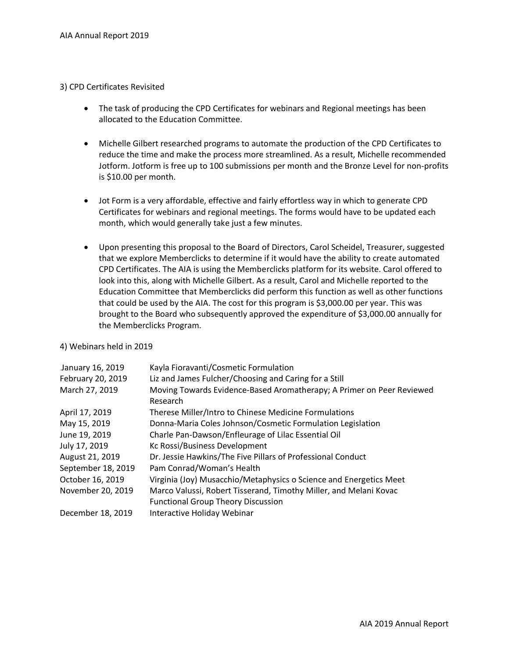### 3) CPD Certificates Revisited

- The task of producing the CPD Certificates for webinars and Regional meetings has been allocated to the Education Committee.
- Michelle Gilbert researched programs to automate the production of the CPD Certificates to reduce the time and make the process more streamlined. As a result, Michelle recommended Jotform. Jotform is free up to 100 submissions per month and the Bronze Level for non-profits is \$10.00 per month.
- Jot Form is a very affordable, effective and fairly effortless way in which to generate CPD Certificates for webinars and regional meetings. The forms would have to be updated each month, which would generally take just a few minutes.
- Upon presenting this proposal to the Board of Directors, Carol Scheidel, Treasurer, suggested that we explore Memberclicks to determine if it would have the ability to create automated CPD Certificates. The AIA is using the Memberclicks platform for its website. Carol offered to look into this, along with Michelle Gilbert. As a result, Carol and Michelle reported to the Education Committee that Memberclicks did perform this function as well as other functions that could be used by the AIA. The cost for this program is \$3,000.00 per year. This was brought to the Board who subsequently approved the expenditure of \$3,000.00 annually for the Memberclicks Program.

#### 4) Webinars held in 2019

| January 16, 2019   | Kayla Fioravanti/Cosmetic Formulation                                                                          |
|--------------------|----------------------------------------------------------------------------------------------------------------|
| February 20, 2019  | Liz and James Fulcher/Choosing and Caring for a Still                                                          |
| March 27, 2019     | Moving Towards Evidence-Based Aromatherapy; A Primer on Peer Reviewed<br>Research                              |
| April 17, 2019     | Therese Miller/Intro to Chinese Medicine Formulations                                                          |
| May 15, 2019       | Donna-Maria Coles Johnson/Cosmetic Formulation Legislation                                                     |
| June 19, 2019      | Charle Pan-Dawson/Enfleurage of Lilac Essential Oil                                                            |
| July 17, 2019      | Kc Rossi/Business Development                                                                                  |
| August 21, 2019    | Dr. Jessie Hawkins/The Five Pillars of Professional Conduct                                                    |
| September 18, 2019 | Pam Conrad/Woman's Health                                                                                      |
| October 16, 2019   | Virginia (Joy) Musacchio/Metaphysics o Science and Energetics Meet                                             |
| November 20, 2019  | Marco Valussi, Robert Tisserand, Timothy Miller, and Melani Kovac<br><b>Functional Group Theory Discussion</b> |
| December 18, 2019  | Interactive Holiday Webinar                                                                                    |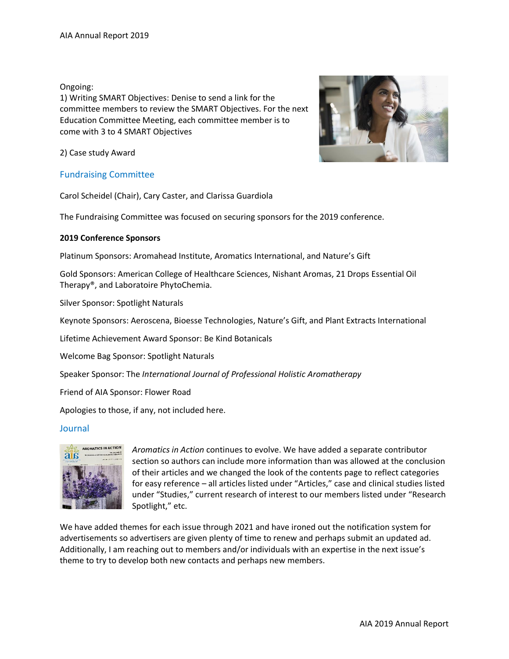Ongoing:

1) Writing SMART Objectives: Denise to send a link for the committee members to review the SMART Objectives. For the next Education Committee Meeting, each committee member is to come with 3 to 4 SMART Objectives



2) Case study Award

## Fundraising Committee

Carol Scheidel (Chair), Cary Caster, and Clarissa Guardiola

The Fundraising Committee was focused on securing sponsors for the 2019 conference.

## **2019 Conference Sponsors**

Platinum Sponsors: Aromahead Institute, Aromatics International, and Nature's Gift

Gold Sponsors: American College of Healthcare Sciences, Nishant Aromas, 21 Drops Essential Oil Therapy®, and Laboratoire PhytoChemia.

Silver Sponsor: Spotlight Naturals

Keynote Sponsors: Aeroscena, Bioesse Technologies, Nature's Gift, and Plant Extracts International

Lifetime Achievement Award Sponsor: Be Kind Botanicals

Welcome Bag Sponsor: Spotlight Naturals

Speaker Sponsor: The *International Journal of Professional Holistic Aromatherapy*

Friend of AIA Sponsor: Flower Road

Apologies to those, if any, not included here.

## Journal



*Aromatics in Action* continues to evolve. We have added a separate contributor section so authors can include more information than was allowed at the conclusion of their articles and we changed the look of the contents page to reflect categories for easy reference – all articles listed under "Articles," case and clinical studies listed under "Studies," current research of interest to our members listed under "Research Spotlight," etc.

We have added themes for each issue through 2021 and have ironed out the notification system for advertisements so advertisers are given plenty of time to renew and perhaps submit an updated ad. Additionally, I am reaching out to members and/or individuals with an expertise in the next issue's theme to try to develop both new contacts and perhaps new members.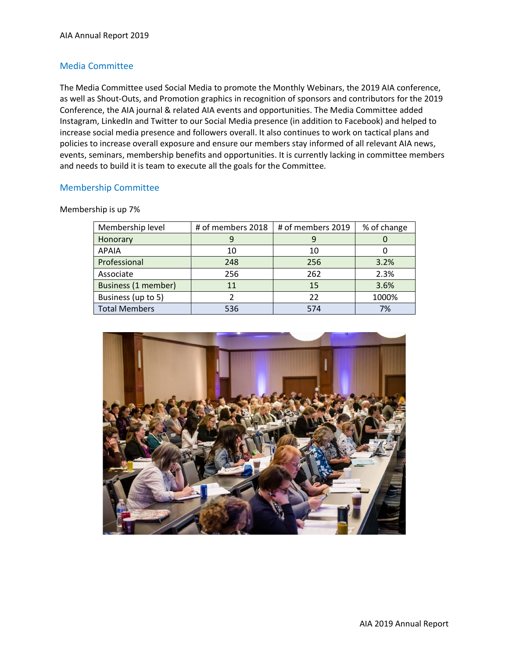## Media Committee

The Media Committee used Social Media to promote the Monthly Webinars, the 2019 AIA conference, as well as Shout-Outs, and Promotion graphics in recognition of sponsors and contributors for the 2019 Conference, the AIA journal & related AIA events and opportunities. The Media Committee added Instagram, LinkedIn and Twitter to our Social Media presence (in addition to Facebook) and helped to increase social media presence and followers overall. It also continues to work on tactical plans and policies to increase overall exposure and ensure our members stay informed of all relevant AIA news, events, seminars, membership benefits and opportunities. It is currently lacking in committee members and needs to build it is team to execute all the goals for the Committee.

## Membership Committee

Membership is up 7%

| Membership level     | # of members 2018 | # of members 2019 | % of change |
|----------------------|-------------------|-------------------|-------------|
| Honorary             | 9                 |                   |             |
| <b>APAIA</b>         | 10                | 10                |             |
| Professional         | 248               | 256               | 3.2%        |
| Associate            | 256               | 262               | 2.3%        |
| Business (1 member)  | 11                | 15                | 3.6%        |
| Business (up to 5)   |                   | 22                | 1000%       |
| <b>Total Members</b> | 536               | 574               | 7%          |

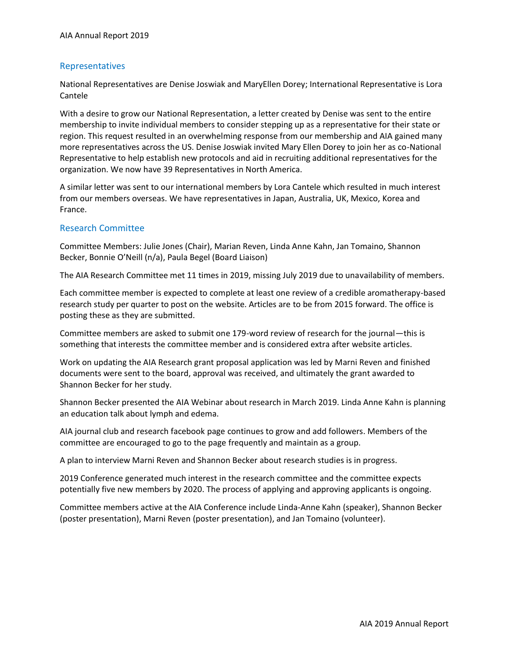## Representatives

National Representatives are Denise Joswiak and MaryEllen Dorey; International Representative is Lora Cantele

With a desire to grow our National Representation, a letter created by Denise was sent to the entire membership to invite individual members to consider stepping up as a representative for their state or region. This request resulted in an overwhelming response from our membership and AIA gained many more representatives across the US. Denise Joswiak invited Mary Ellen Dorey to join her as co-National Representative to help establish new protocols and aid in recruiting additional representatives for the organization. We now have 39 Representatives in North America.

A similar letter was sent to our international members by Lora Cantele which resulted in much interest from our members overseas. We have representatives in Japan, Australia, UK, Mexico, Korea and France.

## Research Committee

Committee Members: Julie Jones (Chair), Marian Reven, Linda Anne Kahn, Jan Tomaino, Shannon Becker, Bonnie O'Neill (n/a), Paula Begel (Board Liaison)

The AIA Research Committee met 11 times in 2019, missing July 2019 due to unavailability of members.

Each committee member is expected to complete at least one review of a credible aromatherapy-based research study per quarter to post on the website. Articles are to be from 2015 forward. The office is posting these as they are submitted.

Committee members are asked to submit one 179-word review of research for the journal—this is something that interests the committee member and is considered extra after website articles.

Work on updating the AIA Research grant proposal application was led by Marni Reven and finished documents were sent to the board, approval was received, and ultimately the grant awarded to Shannon Becker for her study.

Shannon Becker presented the AIA Webinar about research in March 2019. Linda Anne Kahn is planning an education talk about lymph and edema.

AIA journal club and research facebook page continues to grow and add followers. Members of the committee are encouraged to go to the page frequently and maintain as a group.

A plan to interview Marni Reven and Shannon Becker about research studies is in progress.

2019 Conference generated much interest in the research committee and the committee expects potentially five new members by 2020. The process of applying and approving applicants is ongoing.

Committee members active at the AIA Conference include Linda-Anne Kahn (speaker), Shannon Becker (poster presentation), Marni Reven (poster presentation), and Jan Tomaino (volunteer).